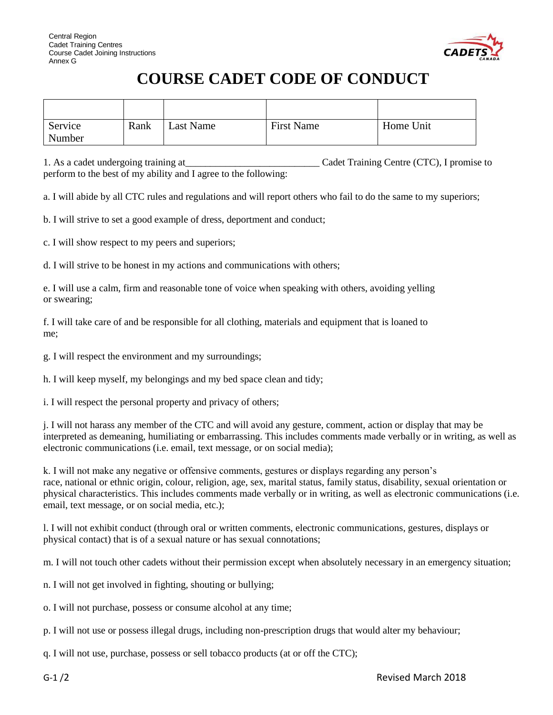

## **COURSE CADET CODE OF CONDUCT**

| Service | Rank | Last Name | <b>First Name</b> | Home Unit |
|---------|------|-----------|-------------------|-----------|
| Number  |      |           |                   |           |

1. As a cadet undergoing training at\_\_\_\_\_\_\_\_\_\_\_\_\_\_\_\_\_\_\_\_\_\_\_\_\_\_\_ Cadet Training Centre (CTC), I promise to perform to the best of my ability and I agree to the following:

a. I will abide by all CTC rules and regulations and will report others who fail to do the same to my superiors;

b. I will strive to set a good example of dress, deportment and conduct;

c. I will show respect to my peers and superiors;

d. I will strive to be honest in my actions and communications with others;

e. I will use a calm, firm and reasonable tone of voice when speaking with others, avoiding yelling or swearing;

f. I will take care of and be responsible for all clothing, materials and equipment that is loaned to me;

g. I will respect the environment and my surroundings;

h. I will keep myself, my belongings and my bed space clean and tidy;

i. I will respect the personal property and privacy of others;

j. I will not harass any member of the CTC and will avoid any gesture, comment, action or display that may be interpreted as demeaning, humiliating or embarrassing. This includes comments made verbally or in writing, as well as electronic communications (i.e. email, text message, or on social media);

k. I will not make any negative or offensive comments, gestures or displays regarding any person's race, national or ethnic origin, colour, religion, age, sex, marital status, family status, disability, sexual orientation or physical characteristics. This includes comments made verbally or in writing, as well as electronic communications (i.e. email, text message, or on social media, etc.);

l. I will not exhibit conduct (through oral or written comments, electronic communications, gestures, displays or physical contact) that is of a sexual nature or has sexual connotations;

m. I will not touch other cadets without their permission except when absolutely necessary in an emergency situation;

n. I will not get involved in fighting, shouting or bullying;

o. I will not purchase, possess or consume alcohol at any time;

p. I will not use or possess illegal drugs, including non-prescription drugs that would alter my behaviour;

q. I will not use, purchase, possess or sell tobacco products (at or off the CTC);